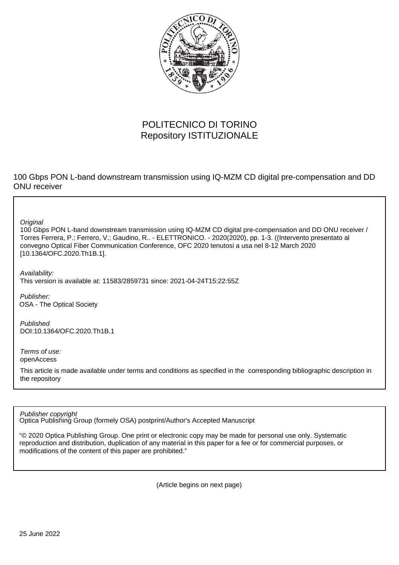

## POLITECNICO DI TORINO Repository ISTITUZIONALE

100 Gbps PON L-band downstream transmission using IQ-MZM CD digital pre-compensation and DD ONU receiver

**Original** 

100 Gbps PON L-band downstream transmission using IQ-MZM CD digital pre-compensation and DD ONU receiver / Torres Ferrera, P.; Ferrero, V.; Gaudino, R.. - ELETTRONICO. - 2020(2020), pp. 1-3. ((Intervento presentato al convegno Optical Fiber Communication Conference, OFC 2020 tenutosi a usa nel 8-12 March 2020 [10.1364/OFC.2020.Th1B.1].

Availability: This version is available at: 11583/2859731 since: 2021-04-24T15:22:55Z

Publisher: OSA - The Optical Society

Published DOI:10.1364/OFC.2020.Th1B.1

Terms of use: openAccess

This article is made available under terms and conditions as specified in the corresponding bibliographic description in the repository

Publisher copyright

Optica Publishing Group (formely OSA) postprint/Author's Accepted Manuscript

"© 2020 Optica Publishing Group. One print or electronic copy may be made for personal use only. Systematic reproduction and distribution, duplication of any material in this paper for a fee or for commercial purposes, or modifications of the content of this paper are prohibited."

(Article begins on next page)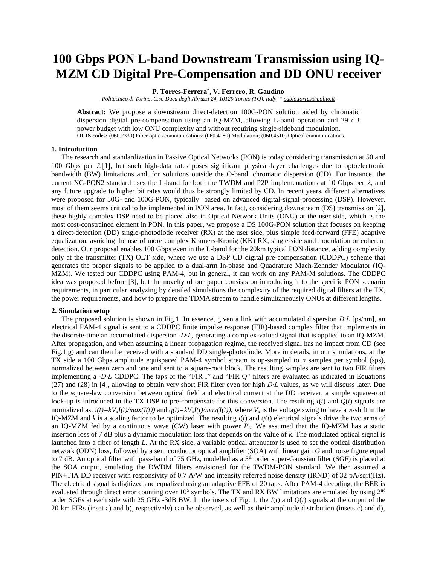# **100 Gbps PON L-band Downstream Transmission using IQ-MZM CD Digital Pre-Compensation and DD ONU receiver**

### **P. Torres-Ferrera\* , V. Ferrero, R. Gaudino**

*Politecnico di Torino, C.so Duca degli Abruzzi 24, 10129 Torino (TO), Italy, [\\* pablo.torres@polito.it](mailto:pablo.torres@polito.it)*

**Abstract:** We propose a downstream direct-detection 100G-PON solution aided by chromatic dispersion digital pre-compensation using an IQ-MZM, allowing L-band operation and 29 dB power budget with low ONU complexity and without requiring single-sideband modulation. **OCIS codes:** (060.2330) Fiber optics communications; (060.4080) Modulation; (060.4510) Optical communications.

#### **1. Introduction**

The research and standardization in Passive Optical Networks (PON) is today considering transmission at 50 and 100 Gbps per  $\lambda$  [1], but such high-data rates poses significant physical-layer challenges due to optoelectronic bandwidth (BW) limitations and, for solutions outside the O-band, chromatic dispersion (CD). For instance, the current NG-PON2 standard uses the L-band for both the TWDM and P2P implementations at 10 Gbps per  $\lambda$ , and any future upgrade to higher bit rates would thus be strongly limited by CD. In recent years, different alternatives were proposed for 50G- and 100G-PON, typically based on advanced digital-signal-processing (DSP). However, most of them seems critical to be implemented in PON area. In fact, considering downstream (DS) transmission [2], these highly complex DSP need to be placed also in Optical Network Units (ONU) at the user side, which is the most cost-constrained element in PON. In this paper, we propose a DS 100G-PON solution that focuses on keeping a direct-detection (DD) single-photodiode receiver (RX) at the user side, plus simple feed-forward (FFE) adaptive equalization, avoiding the use of more complex Kramers-Kronig (KK) RX, single-sideband modulation or coherent detection. Our proposal enables 100 Gbps even in the L-band for the 20km typical PON distance, adding complexity only at the transmitter (TX) OLT side, where we use a DSP CD digital pre-compensation (CDDPC) scheme that generates the proper signals to be applied to a dual-arm In-phase and Quadrature Mach-Zehnder Modulator (IQ-MZM). We tested our CDDPC using PAM-4, but in general, it can work on any PAM-M solutions. The CDDPC idea was proposed before [3], but the novelty of our paper consists on introducing it to the specific PON scenario requirements, in particular analyzing by detailed simulations the complexity of the required digital filters at the TX, the power requirements, and how to prepare the TDMA stream to handle simultaneously ONUs at different lengths.

#### **2. Simulation setup**

The proposed solution is shown in Fig.1. In essence, given a link with accumulated dispersion *D∙L* [ps/nm]*,* an electrical PAM-4 signal is sent to a CDDPC finite impulse response (FIR)-based complex filter that implements in the discrete-time an accumulated dispersion -*D∙L,* generating a complex-valued signal that is applied to an IQ-MZM. After propagation, and when assuming a linear propagation regime, the received signal has no impact from CD (see Fig.1.g) and can then be received with a standard DD single-photodiode. More in details, in our simulations, at the TX side a 100 Gbps amplitude equispaced PAM-4 symbol stream is up-sampled to *n* samples per symbol (sps), normalized between zero and one and sent to a square-root block. The resulting samples are sent to two FIR filters implementing a -*D∙L* CDDPC. The taps of the "FIR I" and "FIR Q" filters are evaluated as indicated in Equations (27) and (28) in [4], allowing to obtain very short FIR filter even for high *D∙L* values, as we will discuss later. Due to the square-law conversion between optical field and electrical current at the DD receiver, a simple square-root look-up is introduced in the TX DSP to pre-compensate for this conversion. The resulting  $I(t)$  and  $O(t)$  signals are normalized as:  $i(t)=kV_{\pi}I(t)/max(I(t))$  and  $q(t)=kV_{\pi}I(t)/max(I(t))$ , where  $V_{\pi}$  is the voltage swing to have a  $\pi$ -shift in the IQ-MZM and *k* is a scaling factor to be optimized. The resulting *i*(*t*) and *q*(*t*) electrical signals drive the two arms of an IQ-MZM fed by a continuous wave (CW) laser with power  $P_L$ . We assumed that the IQ-MZM has a static insertion loss of 7 dB plus a dynamic modulation loss that depends on the value of *k*. The modulated optical signal is launched into a fiber of length *L*. At the RX side, a variable optical attenuator is used to set the optical distribution network (ODN) loss, followed by a semiconductor optical amplifier (SOA) with linear gain *G* and noise figure equal to 7 dB. An optical filter with pass-band of 75 GHz, modelled as a 5<sup>th</sup> order super-Gaussian filter (SGF) is placed at the SOA output, emulating the DWDM filters envisioned for the TWDM-PON standard. We then assumed a PIN+TIA DD receiver with responsivity of 0.7 A/W and intensity referred noise density (IRND) of 32 pA/sqrt(Hz). The electrical signal is digitized and equalized using an adaptive FFE of 20 taps. After PAM-4 decoding, the BER is evaluated through direct error counting over  $10^5$  symbols. The TX and RX BW limitations are emulated by using  $2^{nd}$ order SGFs at each side with 25 GHz -3dB BW. In the insets of Fig. 1, the *I*(*t*) and *Q*(*t*) signals at the output of the 20 km FIRs (inset a) and b), respectively) can be observed, as well as their amplitude distribution (insets c) and d),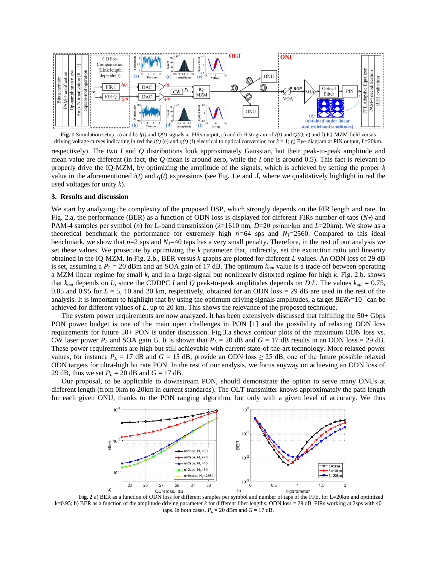

**Fig. 1** Simulation setup; a) and b)  $I(t)$  and  $Q(t)$  signals at FIRs output; c) and d) Histogram of  $I(t)$  and  $Q(t)$ ; e) and f) IQ-MZM field versus driving voltage curves indicating in red the *i(t)* (e) and *q(t)* (f) electrical to optical conversion for *k* = 1; g) Eye-diagram at PIN output, *L*=20km.

respectively). The two *I* and *Q* distributions look approximately Gaussian, but their peak-to-peak amplitude and mean value are different (in fact, the *Q-*mean is around zero, while the *I* one is around 0.5). This fact is relevant to properly drive the IQ-MZM, by optimizing the amplitude of the signals, which is achieved by setting the proper *k* value in the aforementioned  $i(t)$  and  $q(t)$  expressions (see Fig. 1.e and .f, where we qualitatively highlight in red the used voltages for unity *k*).

#### **3. Results and discussion**

We start by analyzing the complexity of the proposed DSP, which strongly depends on the FIR length and rate. In Fig. 2.a, the performance (BER) as a function of ODN loss is displayed for different FIRs number of taps  $(N_T)$  and PAM-4 samples per symbol (*n*) for L-band transmission (*λ*=1610 nm, *D*=20 ps/nm∙km and *L*=20km). We show as a theoretical benchmark the performance for extremely high  $n=64$  sps and  $N_T=2560$ . Compared to this ideal benchmark, we show that  $n=2$  sps and  $N<sub>T</sub>=40$  taps has a very small penalty. Therefore, in the rest of our analysis we set these values. We prosecute by optimizing the *k* parameter that, indirectly, set the extinction ratio and linearity obtained in the IQ-MZM. In Fig. 2.b., BER versus *k* graphs are plotted for different *L* values. An ODN loss of 29 dB is set, assuming a  $P_L = 20$  dBm and an SOA gain of 17 dB. The optimum  $k_{opt}$  value is a trade-off between operating a MZM linear regime for small *k*, and in a large-signal but nonlinearly distorted regime for high *k*. Fig. 2.b. shows that *kopt* depends on *L,* since the CDDPC *I* and *Q* peak-to-peak amplitudes depends on *D∙L*. The values *kopt* = 0.75, 0.85 and 0.95 for  $L = 5$ , 10 and 20 km, respectively, obtained for an ODN loss = 29 dB are used in the rest of the analysis. It is important to highlight that by using the optimum driving signals amplitudes, a target *BER<sub>I</sub>*=10<sup>-2</sup> can be achieved for different values of *L*, up to 20 km. This shows the relevance of the proposed technique.

The system power requirements are now analyzed. It has been extensively discussed that fulfilling the 50+ Gbps PON power budget is one of the main open challenges in PON [1] and the possibility of relaxing ODN loss requirements for future 50+ PON is under discussion. Fig.3.a shows contour plots of the maximum ODN loss vs. CW laser power  $P_L$  and SOA gain *G*. It is shown that  $P_L = 20$  dB and  $G = 17$  dB results in an ODN loss = 29 dB. These power requirements are high but still achievable with current state-of-the-art technology. More relaxed power values, for instance  $P_L = 17$  dB and  $G = 15$  dB, provide an ODN loss  $\geq 25$  dB, one of the future possible relaxed ODN targets for ultra-high bit rate PON. In the rest of our analysis, we focus anyway on achieving an ODN loss of 29 dB, thus we set  $P_L = 20$  dB and  $G = 17$  dB.

Our proposal, to be applicable to downstream PON, should demonstrate the option to serve many ONUs at different length (from 0km to 20km in current standards). The OLT transmitter knows approximately the path length for each given ONU, thanks to the PON ranging algorithm, but only with a given level of accuracy. We thus



**Fig. 2** a) BER as a function of ODN loss for different samples per symbol and number of taps of the FFE, for L=20km and optimized  $k=0.95$ ; b) BER as a function of the amplitude driving parameter *k* for different fiber lengths, ODN loss = 29 dB, FIRs working at 2sps with 40 taps. In both cases,  $P_L = 20$  dBm and  $G = 17$  dB.